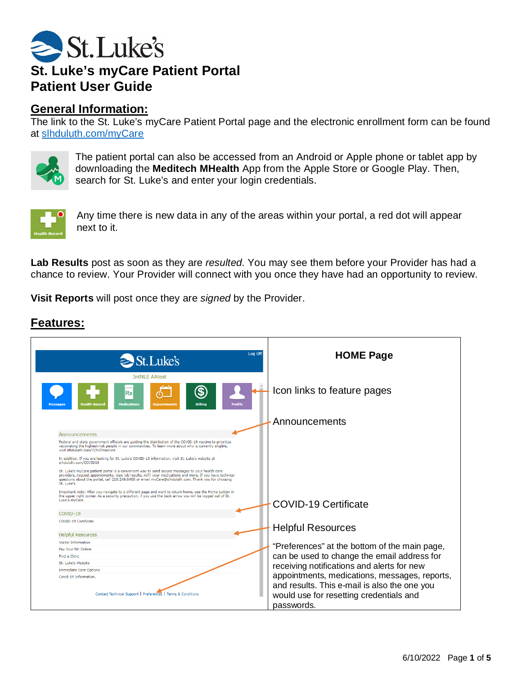

## **General Information:**

The link to the St. Luke's myCare Patient Portal page and the electronic enrollment form can be found at [slhduluth.com/myCare](https://www.slhduluth.com/patients-visitors/mycare)



The patient portal can also be accessed from an Android or Apple phone or tablet app by downloading the **Meditech MHealth** App from the Apple Store or Google Play. Then, search for St. Luke's and enter your login credentials.



Any time there is new data in any of the areas within your portal, a red dot will appear next to it.

**Lab Results** post as soon as they are *resulted*. You may see them before your Provider has had a chance to review. Your Provider will connect with you once they have had an opportunity to review.

**Visit Reports** will post once they are *signed* by the Provider.



## **Features:**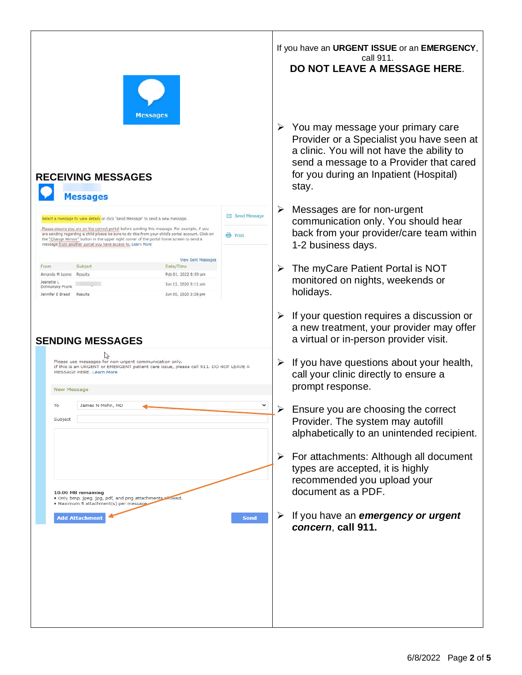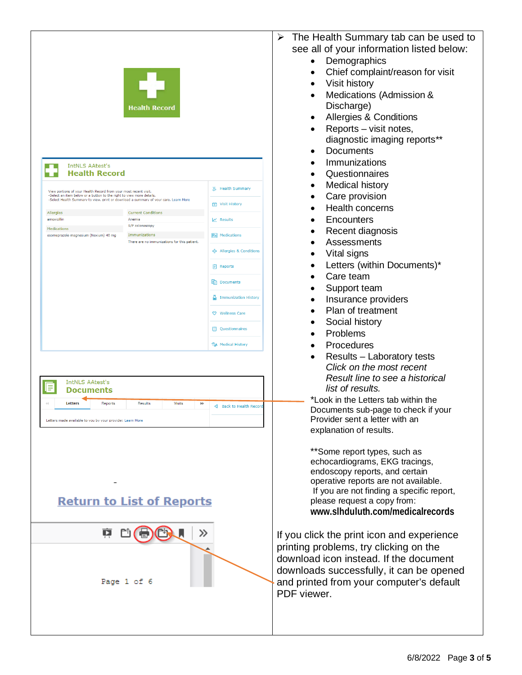

## **Return to List of Reports**



- $\triangleright$  The Health Summary tab can be used to see all of your information listed below:
	- Demographics
	- Chief complaint/reason for visit
	- Visit history
	- Medications (Admission & Discharge)
	- Allergies & Conditions
	- Reports visit notes, diagnostic imaging reports\*\*
	- **Documents**
	- **Immunizations**
	- Questionnaires
	- Medical history
	- Care provision
	- Health concerns
	- **Encounters**
	- Recent diagnosis
	- **Assessments**
	- Vital signs
	- Letters (within Documents)\*
	- Care team
	- Support team
	- Insurance providers
	- Plan of treatment
	- Social history
	- Problems
	- Procedures
	- Results Laboratory tests *Click on the most recent Result line to see a historical list of results.*

\*Look in the Letters tab within the Documents sub-page to check if your Provider sent a letter with an explanation of results.

\*\*Some report types, such as echocardiograms, EKG tracings, endoscopy reports, and certain operative reports are not available. If you are not finding a specific report, please request a copy from: **www.slhduluth.com/medicalrecords**

If you click the print icon and experience printing problems, try clicking on the download icon instead. If the document downloads successfully, it can be opened and printed from your computer's default PDF viewer.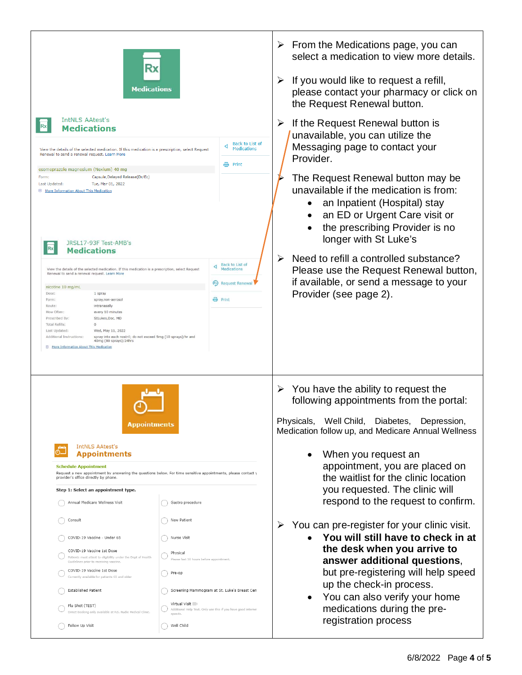